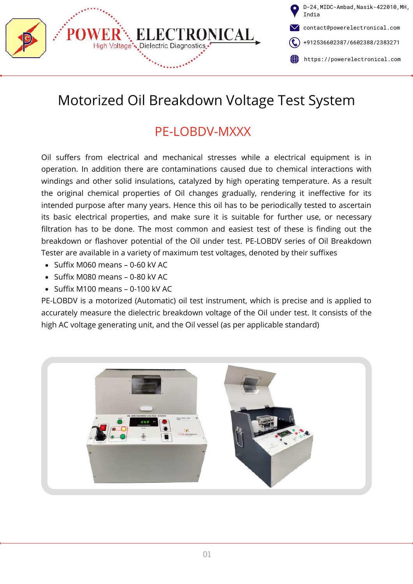

# Motorized Oil Breakdown Voltage Test System

# PF-LOBDV-MXXX

Oil suffers from electrical and mechanical stresses while a electrical equipment is in operation. In addition there are contaminations caused due to chemical interactions with windings and other solid insulations, catalyzed by high operating temperature. As a result the original chemical properties of Oil changes gradually, rendering it ineffective for its intended purpose after many years. Hence this oil has to be periodically tested to ascertain its basic electrical properties, and make sure it is suitable for further use, or necessary filtration has to be done. The most common and easiest test of these is finding out the breakdown or flashover potential of the Oil under test. PE-LOBDV series of Oil Breakdown Tester are available in a variety of maximum test voltages, denoted by their suffixes

- $\bullet$  Suffix M060 means 0-60 kV AC
- $\bullet$  Suffix M080 means 0-80 kV AC
- $\bullet$  Suffix M100 means 0-100 kV AC

PE-LOBDV is a motorized (Automatic) oil test instrument, which is precise and is applied to accurately measure the dielectric breakdown voltage of the Oil under test. It consists of the high AC voltage generating unit, and the Oil vessel (as per applicable standard)

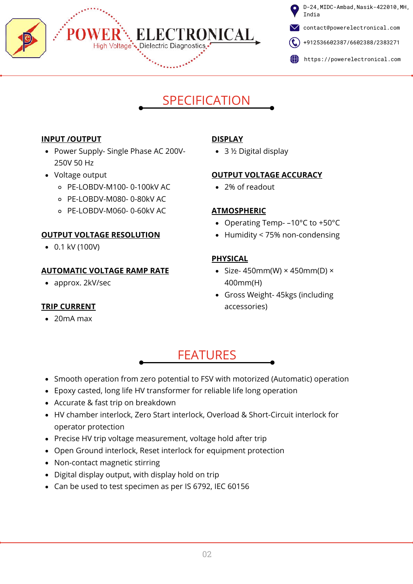

D-24,MIDC-Ambad,Nasik-422010,MH, India

contact@powerelectronical.com

- $\left(\begin{array}{c} \bullet \end{array}\right)$  [+912536602387](tel:+912536602387)/[6602388](tel:+912536602388)[/2383271](tel:+912532383271)
- https://powerelectronical.com

# SPECIFICATION

#### **INPUT /OUTPUT**

- Power Supply- Single Phase AC 200V-250V 50 Hz
- Voltage output
	- PE-LOBDV-M100- 0-100kV AC
	- PE-LOBDV-M080- 0-80kV AC
	- PE-LOBDV-M060- 0-60kV AC

### **OUTPUT VOLTAGE RESOLUTION**

0.1 kV (100V)

### **AUTOMATIC VOLTAGE RAMP RATE**

• approx. 2kV/sec

### **TRIP CURRENT**

20mA max

## **DISPLAY**

• 3 ½ Digital display

#### **OUTPUT VOLTAGE ACCURACY**

2% of readout

### **ATMOSPHERIC**

- Operating Temp- –10°C to +50°C
- Humidity < 75% non-condensing

### **PHYSICAL**

- Size- 450mm(W)  $\times$  450mm(D)  $\times$ 400mm(H)
- Gross Weight- 45kgs (including accessories)

# FEATURES

- Smooth operation from zero potential to FSV with motorized (Automatic) operation
- Epoxy casted, long life HV transformer for reliable life long operation
- Accurate & fast trip on breakdown
- HV chamber interlock, Zero Start interlock, Overload & Short-Circuit interlock for operator protection
- Precise HV trip voltage measurement, voltage hold after trip
- Open Ground interlock, Reset interlock for equipment protection
- Non-contact magnetic stirring
- Digital display output, with display hold on trip
- Can be used to test specimen as per IS 6792, IEC 60156